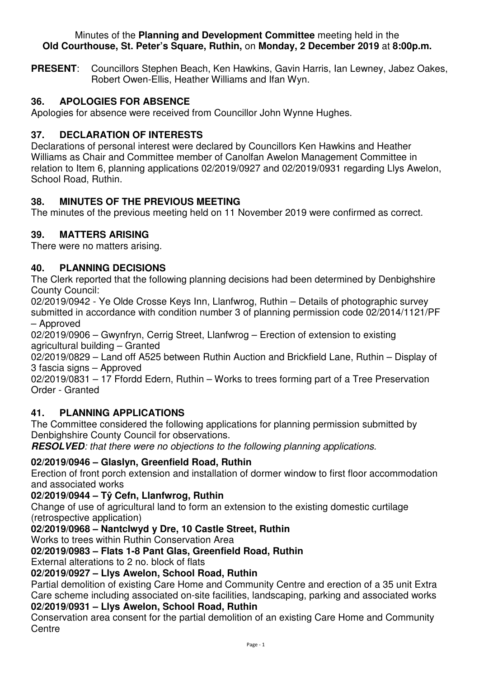#### Minutes of the **Planning and Development Committee** meeting held in the **Old Courthouse, St. Peter's Square, Ruthin,** on **Monday, 2 December 2019** at **8:00p.m.**

**PRESENT**: Councillors Stephen Beach, Ken Hawkins, Gavin Harris, Ian Lewney, Jabez Oakes, Robert Owen-Ellis, Heather Williams and Ifan Wyn.

## **36. APOLOGIES FOR ABSENCE**

Apologies for absence were received from Councillor John Wynne Hughes.

## **37. DECLARATION OF INTERESTS**

Declarations of personal interest were declared by Councillors Ken Hawkins and Heather Williams as Chair and Committee member of Canolfan Awelon Management Committee in relation to Item 6, planning applications 02/2019/0927 and 02/2019/0931 regarding Llys Awelon, School Road, Ruthin.

## **38. MINUTES OF THE PREVIOUS MEETING**

The minutes of the previous meeting held on 11 November 2019 were confirmed as correct.

## **39. MATTERS ARISING**

There were no matters arising.

## **40. PLANNING DECISIONS**

The Clerk reported that the following planning decisions had been determined by Denbighshire County Council:

02/2019/0942 - Ye Olde Crosse Keys Inn, Llanfwrog, Ruthin – Details of photographic survey submitted in accordance with condition number 3 of planning permission code 02/2014/1121/PF – Approved

02/2019/0906 – Gwynfryn, Cerrig Street, Llanfwrog – Erection of extension to existing agricultural building – Granted

02/2019/0829 – Land off A525 between Ruthin Auction and Brickfield Lane, Ruthin – Display of 3 fascia signs – Approved

02/2019/0831 – 17 Ffordd Edern, Ruthin – Works to trees forming part of a Tree Preservation Order - Granted

### **41. PLANNING APPLICATIONS**

The Committee considered the following applications for planning permission submitted by Denbighshire County Council for observations.

**RESOLVED***: that there were no objections to the following planning applications.* 

# **02/2019/0946 – Glaslyn, Greenfield Road, Ruthin**

Erection of front porch extension and installation of dormer window to first floor accommodation and associated works

### **02/2019/0944 – Tŷ Cefn, Llanfwrog, Ruthin**

Change of use of agricultural land to form an extension to the existing domestic curtilage (retrospective application)

# **02/2019/0968 – Nantclwyd y Dre, 10 Castle Street, Ruthin**

Works to trees within Ruthin Conservation Area

### **02/2019/0983 – Flats 1-8 Pant Glas, Greenfield Road, Ruthin**

External alterations to 2 no. block of flats

### **02/2019/0927 – Llys Awelon, School Road, Ruthin**

Partial demolition of existing Care Home and Community Centre and erection of a 35 unit Extra Care scheme including associated on-site facilities, landscaping, parking and associated works

## **02/2019/0931 – Llys Awelon, School Road, Ruthin**

Conservation area consent for the partial demolition of an existing Care Home and Community **Centre**